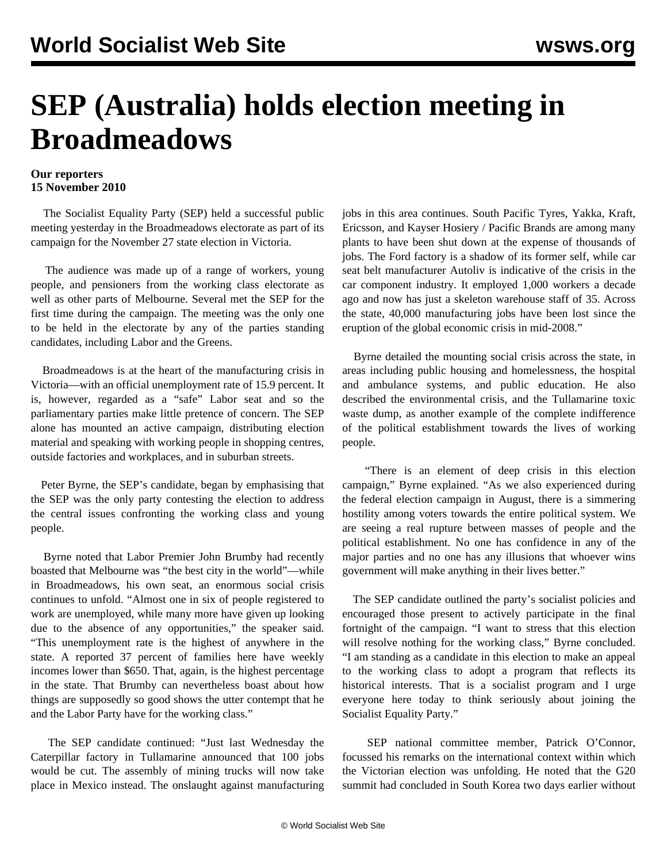## **SEP (Australia) holds election meeting in Broadmeadows**

## **Our reporters 15 November 2010**

 The Socialist Equality Party (SEP) held a successful public meeting yesterday in the Broadmeadows electorate as part of its campaign for the November 27 state election in Victoria.

 The audience was made up of a range of workers, young people, and pensioners from the working class electorate as well as other parts of Melbourne. Several met the SEP for the first time during the campaign. The meeting was the only one to be held in the electorate by any of the parties standing candidates, including Labor and the Greens.

 Broadmeadows is at the heart of the manufacturing crisis in Victoria—with an official unemployment rate of 15.9 percent. It is, however, regarded as a "safe" Labor seat and so the parliamentary parties make little pretence of concern. The SEP alone has mounted an active campaign, distributing election material and speaking with working people in shopping centres, outside factories and workplaces, and in suburban streets.

 Peter Byrne, the SEP's candidate, began by emphasising that the SEP was the only party contesting the election to address the central issues confronting the working class and young people.

 Byrne noted that Labor Premier John Brumby had recently boasted that Melbourne was "the best city in the world"—while in Broadmeadows, his own seat, an enormous social crisis continues to unfold. "Almost one in six of people registered to work are unemployed, while many more have given up looking due to the absence of any opportunities," the speaker said. "This unemployment rate is the highest of anywhere in the state. A reported 37 percent of families here have weekly incomes lower than \$650. That, again, is the highest percentage in the state. That Brumby can nevertheless boast about how things are supposedly so good shows the utter contempt that he and the Labor Party have for the working class."

 The SEP candidate continued: "Just last Wednesday the Caterpillar factory in Tullamarine announced that 100 jobs would be cut. The assembly of mining trucks will now take place in Mexico instead. The onslaught against manufacturing jobs in this area continues. South Pacific Tyres, Yakka, Kraft, Ericsson, and Kayser Hosiery / Pacific Brands are among many plants to have been shut down at the expense of thousands of jobs. The Ford factory is a shadow of its former self, while car seat belt manufacturer Autoliv is indicative of the crisis in the car component industry. It employed 1,000 workers a decade ago and now has just a skeleton warehouse staff of 35. Across the state, 40,000 manufacturing jobs have been lost since the eruption of the global economic crisis in mid-2008."

 Byrne detailed the mounting social crisis across the state, in areas including public housing and homelessness, the hospital and ambulance systems, and public education. He also described the environmental crisis, and the Tullamarine toxic waste dump, as another example of the complete indifference of the political establishment towards the lives of working people.

 "There is an element of deep crisis in this election campaign," Byrne explained. "As we also experienced during the federal election campaign in August, there is a simmering hostility among voters towards the entire political system. We are seeing a real rupture between masses of people and the political establishment. No one has confidence in any of the major parties and no one has any illusions that whoever wins government will make anything in their lives better."

 The SEP candidate outlined the party's socialist policies and encouraged those present to actively participate in the final fortnight of the campaign. "I want to stress that this election will resolve nothing for the working class," Byrne concluded. "I am standing as a candidate in this election to make an appeal to the working class to adopt a program that reflects its historical interests. That is a socialist program and I urge everyone here today to think seriously about joining the Socialist Equality Party."

 SEP national committee member, Patrick O'Connor, focussed his remarks on the international context within which the Victorian election was unfolding. He noted that the G20 summit had concluded in South Korea two days earlier without